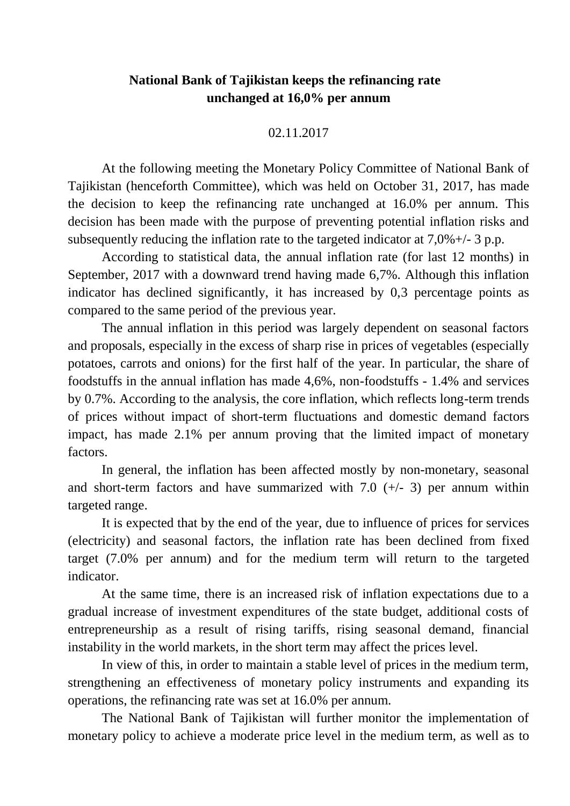## **National Bank of Tajikistan keeps the refinancing rate unchanged at 16,0% per annum**

## 02.11.2017

At the following meeting the Monetary Policy Committee of National Bank of Tajikistan (henceforth Committee), which was held on October 31, 2017, has made the decision to keep the refinancing rate unchanged at 16.0% per annum. This decision has been made with the purpose of preventing potential inflation risks and subsequently reducing the inflation rate to the targeted indicator at 7,0%+/- 3 p.p.

According to statistical data, the annual inflation rate (for last 12 months) in September, 2017 with a downward trend having made 6,7%. Although this inflation indicator has declined significantly, it has increased by 0,3 percentage points as compared to the same period of the previous year.

The annual inflation in this period was largely dependent on seasonal factors and proposals, especially in the excess of sharp rise in prices of vegetables (especially potatoes, carrots and onions) for the first half of the year. In particular, the share of foodstuffs in the annual inflation has made 4,6%, non-foodstuffs - 1.4% and services by 0.7%. According to the analysis, the core inflation, which reflects long-term trends of prices without impact of short-term fluctuations and domestic demand factors impact, has made 2.1% per annum proving that the limited impact of monetary factors.

In general, the inflation has been affected mostly by non-monetary, seasonal and short-term factors and have summarized with  $7.0$  ( $+/-$  3) per annum within targeted range.

It is expected that by the end of the year, due to influence of prices for services (electricity) and seasonal factors, the inflation rate has been declined from fixed target (7.0% per annum) and for the medium term will return to the targeted indicator.

At the same time, there is an increased risk of inflation expectations due to a gradual increase of investment expenditures of the state budget, additional costs of entrepreneurship as a result of rising tariffs, rising seasonal demand, financial instability in the world markets, in the short term may affect the prices level.

In view of this, in order to maintain a stable level of prices in the medium term, strengthening an effectiveness of monetary policy instruments and expanding its operations, the refinancing rate was set at 16.0% per annum.

The National Bank of Tajikistan will further monitor the implementation of monetary policy to achieve a moderate price level in the medium term, as well as to